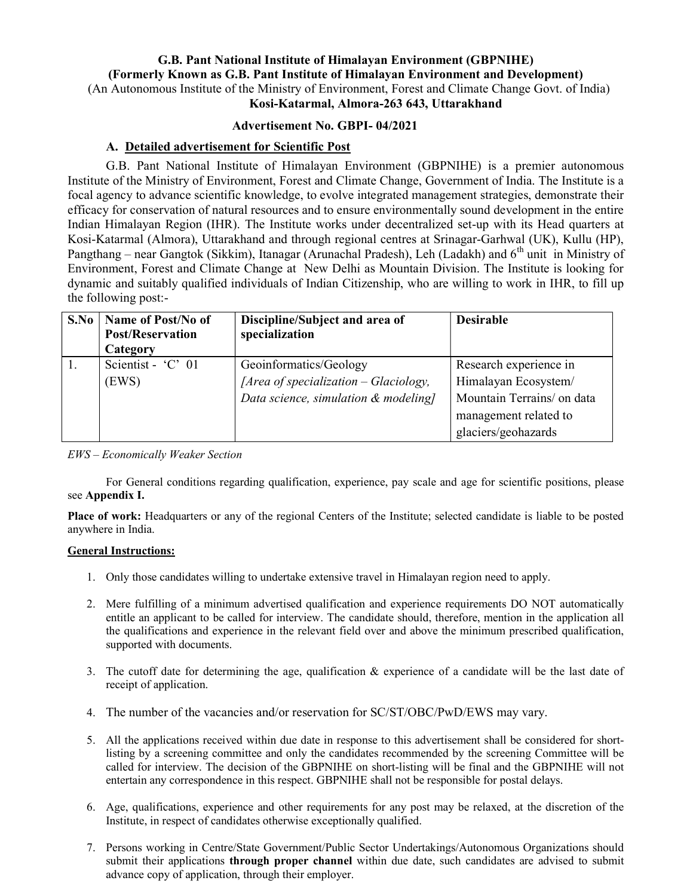# G.B. Pant National Institute of Himalayan Environment (GBPNIHE) (Formerly Known as G.B. Pant Institute of Himalayan Environment and Development) (An Autonomous Institute of the Ministry of Environment, Forest and Climate Change Govt. of India)

Kosi-Katarmal, Almora-263 643, Uttarakhand

## Advertisement No. GBPI- 04/2021

## A. Detailed advertisement for Scientific Post

G.B. Pant National Institute of Himalayan Environment (GBPNIHE) is a premier autonomous Institute of the Ministry of Environment, Forest and Climate Change, Government of India. The Institute is a focal agency to advance scientific knowledge, to evolve integrated management strategies, demonstrate their efficacy for conservation of natural resources and to ensure environmentally sound development in the entire Indian Himalayan Region (IHR). The Institute works under decentralized set-up with its Head quarters at Kosi-Katarmal (Almora), Uttarakhand and through regional centres at Srinagar-Garhwal (UK), Kullu (HP), Pangthang – near Gangtok (Sikkim), Itanagar (Arunachal Pradesh), Leh (Ladakh) and 6<sup>th</sup> unit in Ministry of Environment, Forest and Climate Change at New Delhi as Mountain Division. The Institute is looking for dynamic and suitably qualified individuals of Indian Citizenship, who are willing to work in IHR, to fill up the following post:-

| S.No | Name of Post/No of<br><b>Post/Reservation</b><br>Category | Discipline/Subject and area of<br>specialization | <b>Desirable</b>           |
|------|-----------------------------------------------------------|--------------------------------------------------|----------------------------|
|      | Scientist - 'C' 01                                        | Geoinformatics/Geology                           | Research experience in     |
|      | (EWS)                                                     | [Area of specialization $-$ Glaciology,          | Himalayan Ecosystem/       |
|      |                                                           | Data science, simulation & modeling]             | Mountain Terrains/ on data |
|      |                                                           |                                                  | management related to      |
|      |                                                           |                                                  | glaciers/geohazards        |

#### EWS – Economically Weaker Section

For General conditions regarding qualification, experience, pay scale and age for scientific positions, please see Appendix I.

Place of work: Headquarters or any of the regional Centers of the Institute; selected candidate is liable to be posted anywhere in India.

#### General Instructions:

- 1. Only those candidates willing to undertake extensive travel in Himalayan region need to apply.
- 2. Mere fulfilling of a minimum advertised qualification and experience requirements DO NOT automatically entitle an applicant to be called for interview. The candidate should, therefore, mention in the application all the qualifications and experience in the relevant field over and above the minimum prescribed qualification, supported with documents.
- 3. The cutoff date for determining the age, qualification & experience of a candidate will be the last date of receipt of application.
- 4. The number of the vacancies and/or reservation for SC/ST/OBC/PwD/EWS may vary.
- 5. All the applications received within due date in response to this advertisement shall be considered for shortlisting by a screening committee and only the candidates recommended by the screening Committee will be called for interview. The decision of the GBPNIHE on short-listing will be final and the GBPNIHE will not entertain any correspondence in this respect. GBPNIHE shall not be responsible for postal delays.
- 6. Age, qualifications, experience and other requirements for any post may be relaxed, at the discretion of the Institute, in respect of candidates otherwise exceptionally qualified.
- 7. Persons working in Centre/State Government/Public Sector Undertakings/Autonomous Organizations should submit their applications **through proper channel** within due date, such candidates are advised to submit advance copy of application, through their employer.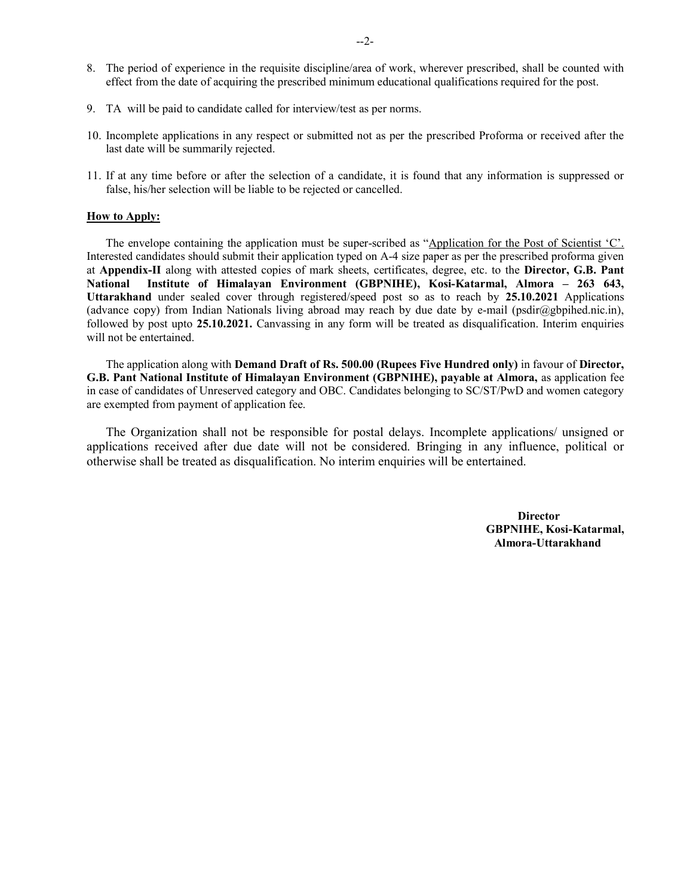- 8. The period of experience in the requisite discipline/area of work, wherever prescribed, shall be counted with effect from the date of acquiring the prescribed minimum educational qualifications required for the post.
- 9. TA will be paid to candidate called for interview/test as per norms.
- 10. Incomplete applications in any respect or submitted not as per the prescribed Proforma or received after the last date will be summarily rejected.
- 11. If at any time before or after the selection of a candidate, it is found that any information is suppressed or false, his/her selection will be liable to be rejected or cancelled.

#### How to Apply:

The envelope containing the application must be super-scribed as "Application for the Post of Scientist 'C'. Interested candidates should submit their application typed on A-4 size paper as per the prescribed proforma given at Appendix-II along with attested copies of mark sheets, certificates, degree, etc. to the Director, G.B. Pant National Institute of Himalayan Environment (GBPNIHE), Kosi-Katarmal, Almora – 263 643, Uttarakhand under sealed cover through registered/speed post so as to reach by 25.10.2021 Applications (advance copy) from Indian Nationals living abroad may reach by due date by e-mail (psdir@gbpihed.nic.in), followed by post upto 25.10.2021. Canvassing in any form will be treated as disqualification. Interim enquiries will not be entertained.

The application along with Demand Draft of Rs. 500.00 (Rupees Five Hundred only) in favour of Director, G.B. Pant National Institute of Himalayan Environment (GBPNIHE), payable at Almora, as application fee in case of candidates of Unreserved category and OBC. Candidates belonging to SC/ST/PwD and women category are exempted from payment of application fee.

The Organization shall not be responsible for postal delays. Incomplete applications/ unsigned or applications received after due date will not be considered. Bringing in any influence, political or otherwise shall be treated as disqualification. No interim enquiries will be entertained.

> **Director**  GBPNIHE, Kosi-Katarmal, Almora-Uttarakhand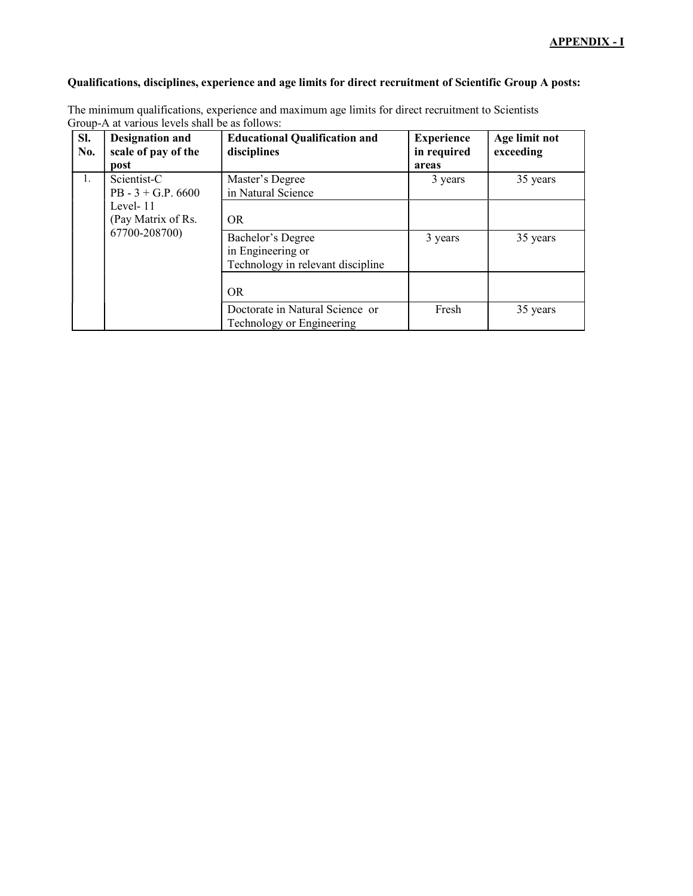### Qualifications, disciplines, experience and age limits for direct recruitment of Scientific Group A posts:

| SI.<br>No.                               | <b>Designation and</b><br>scale of pay of the<br>post                       | <b>Educational Qualification and</b><br>disciplines          | <b>Experience</b><br>in required<br>areas | Age limit not<br>exceeding |
|------------------------------------------|-----------------------------------------------------------------------------|--------------------------------------------------------------|-------------------------------------------|----------------------------|
| Scientist-C<br>1.<br>PB - $3 + G.P.6600$ |                                                                             | Master's Degree<br>in Natural Science                        | 3 years                                   | 35 years                   |
|                                          | Level-11<br>(Pay Matrix of Rs.                                              | OR.                                                          |                                           |                            |
| 67700-208700)                            | Bachelor's Degree<br>in Engineering or<br>Technology in relevant discipline | 3 years                                                      | 35 years                                  |                            |
|                                          |                                                                             | <b>OR</b>                                                    |                                           |                            |
|                                          |                                                                             | Doctorate in Natural Science or<br>Technology or Engineering | Fresh                                     | 35 years                   |

The minimum qualifications, experience and maximum age limits for direct recruitment to Scientists Group-A at various levels shall be as follows: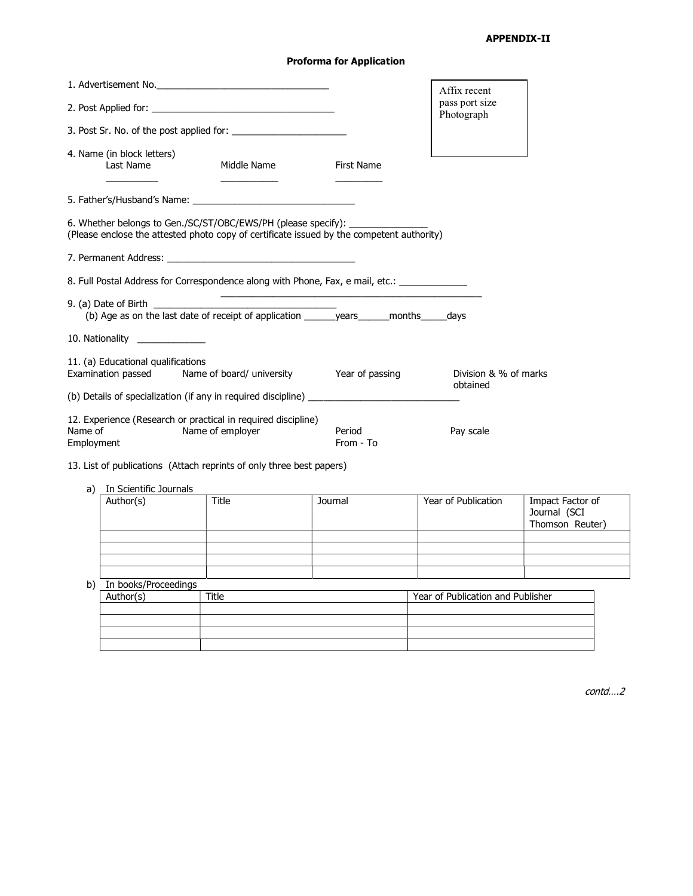# APPENDIX-II

# Proforma for Application

|                                                                                                                                                                                                                       |                                                                                                                                                                               |                              | Affix recent                      |  |
|-----------------------------------------------------------------------------------------------------------------------------------------------------------------------------------------------------------------------|-------------------------------------------------------------------------------------------------------------------------------------------------------------------------------|------------------------------|-----------------------------------|--|
| 2. Post Applied for:                                                                                                                                                                                                  |                                                                                                                                                                               | pass port size<br>Photograph |                                   |  |
|                                                                                                                                                                                                                       | 3. Post Sr. No. of the post applied for:                                                                                                                                      |                              |                                   |  |
| 4. Name (in block letters)<br>Last Name                                                                                                                                                                               | Middle Name                                                                                                                                                                   | First Name                   |                                   |  |
|                                                                                                                                                                                                                       |                                                                                                                                                                               |                              |                                   |  |
|                                                                                                                                                                                                                       | 6. Whether belongs to Gen./SC/ST/OBC/EWS/PH (please specify): __________________<br>(Please enclose the attested photo copy of certificate issued by the competent authority) |                              |                                   |  |
|                                                                                                                                                                                                                       |                                                                                                                                                                               |                              |                                   |  |
|                                                                                                                                                                                                                       | 8. Full Postal Address for Correspondence along with Phone, Fax, e mail, etc.: ____________________                                                                           |                              |                                   |  |
| <u> 1989 - Johann Stoff, deutscher Stoff, der Stoff, der Stoff, der Stoff, der Stoff, der Stoff, der Stoff, der S</u><br>(b) Age as on the last date of receipt of application _______ years ______ months _____ days |                                                                                                                                                                               |                              |                                   |  |
| 10. Nationality                                                                                                                                                                                                       |                                                                                                                                                                               |                              |                                   |  |
| 11. (a) Educational qualifications                                                                                                                                                                                    | Examination passed Mame of board/ university Tear of passing                                                                                                                  |                              | Division & % of marks<br>obtained |  |
|                                                                                                                                                                                                                       |                                                                                                                                                                               |                              |                                   |  |
| Name of<br>Employment                                                                                                                                                                                                 | 12. Experience (Research or practical in required discipline)<br>Name of employer                                                                                             | Period<br>From - To          | Pay scale                         |  |

- 13. List of publications (Attach reprints of only three best papers)
	- a) In Scientific Journals

| ч, | <b>THE SCIENCE SOUTING</b> |       |         |                                   |                                                     |
|----|----------------------------|-------|---------|-----------------------------------|-----------------------------------------------------|
|    | Author(s)                  | Title | Journal | Year of Publication               | Impact Factor of<br>Journal (SCI<br>Thomson Reuter) |
|    |                            |       |         |                                   |                                                     |
|    |                            |       |         |                                   |                                                     |
|    |                            |       |         |                                   |                                                     |
|    |                            |       |         |                                   |                                                     |
| b) | In books/Proceedings       |       |         |                                   |                                                     |
|    | Author(s)                  | Title |         | Year of Publication and Publisher |                                                     |
|    |                            |       |         |                                   |                                                     |
|    |                            |       |         |                                   |                                                     |
|    |                            |       |         |                                   |                                                     |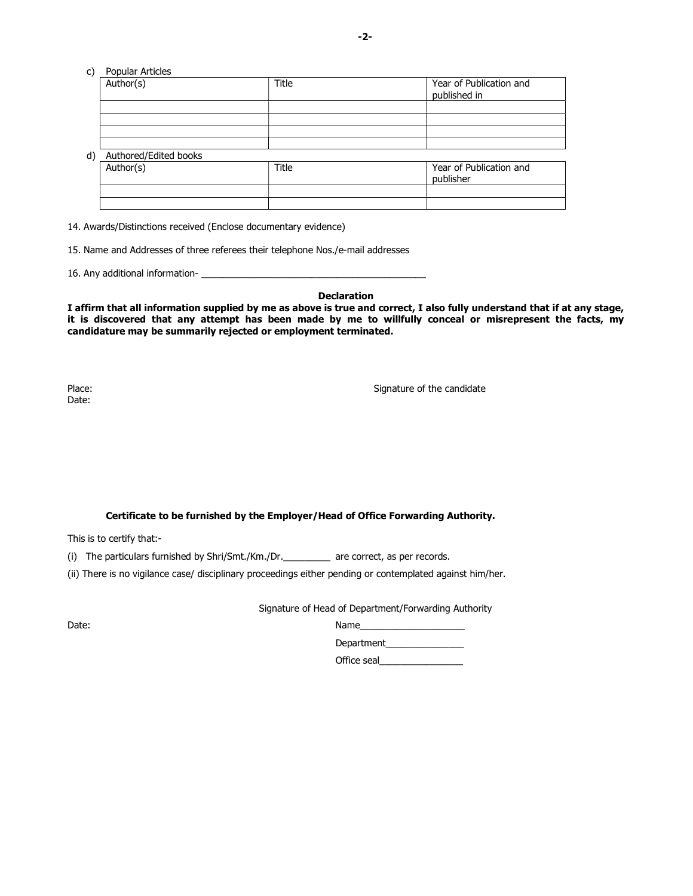#### c) Popular Articles

|    | Author(s)             | <b>Title</b> | Year of Publication and<br>published in |
|----|-----------------------|--------------|-----------------------------------------|
|    |                       |              |                                         |
|    |                       |              |                                         |
|    |                       |              |                                         |
|    |                       |              |                                         |
| d) | Authored/Edited books |              |                                         |
|    | Author(s)             | Title        | Year of Publication and                 |
|    |                       |              | publisher                               |
|    |                       |              |                                         |

14. Awards/Distinctions received (Enclose documentary evidence)

15. Name and Addresses of three referees their telephone Nos./e-mail addresses

16. Any additional information-

#### Declaration

I affirm that all information supplied by me as above is true and correct, I also fully understand that if at any stage, it is discovered that any attempt has been made by me to willfully conceal or misrepresent the facts, my candidature may be summarily rejected or employment terminated.

Date:

Place: Signature of the candidate of the candidate of the candidate of the candidate of the candidate of the candidate of the candidate of the candidate of the candidate of the candidate of the candidate of the candidate o

#### Certificate to be furnished by the Employer/Head of Office Forwarding Authority.

This is to certify that:-

(i) The particulars furnished by Shri/Smt./Km./Dr.\_\_\_\_\_\_\_\_\_ are correct, as per records.

(ii) There is no vigilance case/ disciplinary proceedings either pending or contemplated against him/her.

Signature of Head of Department/Forwarding Authority

| Date: | Name              |
|-------|-------------------|
|       | <b>Department</b> |

Office seal